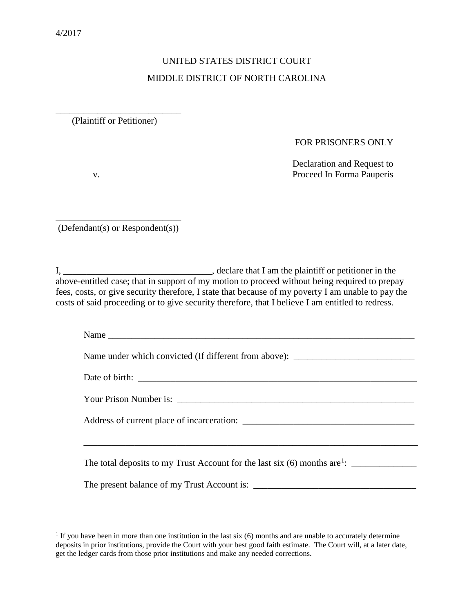## UNITED STATES DISTRICT COURT MIDDLE DISTRICT OF NORTH CAROLINA

\_\_\_\_\_\_\_\_\_\_\_\_\_\_\_\_\_\_\_\_\_\_\_\_\_\_\_ (Plaintiff or Petitioner)

## FOR PRISONERS ONLY

 Declaration and Request to v. Proceed In Forma Pauperis

\_\_\_\_\_\_\_\_\_\_\_\_\_\_\_\_\_\_\_\_\_\_\_\_\_\_\_ (Defendant(s) or Respondent(s))

I, \_\_\_\_\_\_\_\_\_\_\_\_\_\_\_\_\_\_\_\_\_\_\_\_\_\_\_\_\_\_\_\_\_\_\_, declare that I am the plaintiff or petitioner in the above-entitled case; that in support of my motion to proceed without being required to prepay fees, costs, or give security therefore, I state that because of my poverty I am unable to pay the costs of said proceeding or to give security therefore, that I believe I am entitled to redress.

| Name                                                                             |
|----------------------------------------------------------------------------------|
| Name under which convicted (If different from above): __________________________ |
|                                                                                  |
|                                                                                  |
|                                                                                  |
|                                                                                  |
|                                                                                  |
|                                                                                  |
|                                                                                  |

<span id="page-0-0"></span><sup>&</sup>lt;sup>1</sup> If you have been in more than one institution in the last six (6) months and are unable to accurately determine deposits in prior institutions, provide the Court with your best good faith estimate. The Court will, at a later date, get the ledger cards from those prior institutions and make any needed corrections.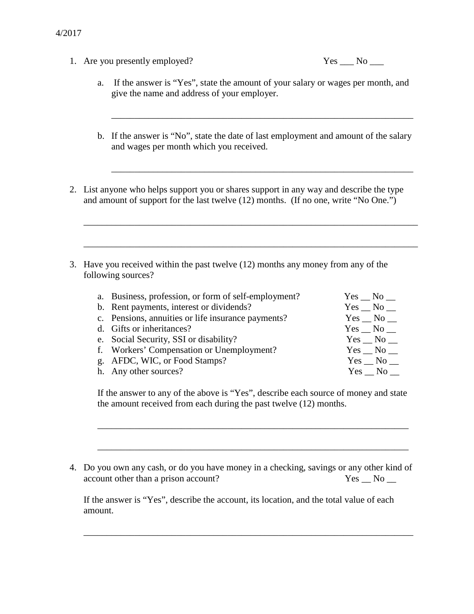1. Are you presently employed?

| Y<br>es | N٥ |  |
|---------|----|--|
|         |    |  |

- a. If the answer is "Yes", state the amount of your salary or wages per month, and give the name and address of your employer.
- b. If the answer is "No", state the date of last employment and amount of the salary and wages per month which you received.

\_\_\_\_\_\_\_\_\_\_\_\_\_\_\_\_\_\_\_\_\_\_\_\_\_\_\_\_\_\_\_\_\_\_\_\_\_\_\_\_\_\_\_\_\_\_\_\_\_\_\_\_\_\_\_\_\_\_\_\_\_\_\_\_\_

\_\_\_\_\_\_\_\_\_\_\_\_\_\_\_\_\_\_\_\_\_\_\_\_\_\_\_\_\_\_\_\_\_\_\_\_\_\_\_\_\_\_\_\_\_\_\_\_\_\_\_\_\_\_\_\_\_\_\_\_\_\_\_\_\_

2. List anyone who helps support you or shares support in any way and describe the type and amount of support for the last twelve (12) months. (If no one, write "No One.")

\_\_\_\_\_\_\_\_\_\_\_\_\_\_\_\_\_\_\_\_\_\_\_\_\_\_\_\_\_\_\_\_\_\_\_\_\_\_\_\_\_\_\_\_\_\_\_\_\_\_\_\_\_\_\_\_\_\_\_\_\_\_\_\_\_\_\_\_\_\_\_\_

\_\_\_\_\_\_\_\_\_\_\_\_\_\_\_\_\_\_\_\_\_\_\_\_\_\_\_\_\_\_\_\_\_\_\_\_\_\_\_\_\_\_\_\_\_\_\_\_\_\_\_\_\_\_\_\_\_\_\_\_\_\_\_\_\_\_\_\_\_\_\_\_

3. Have you received within the past twelve (12) months any money from any of the following sources?

| a. Business, profession, or form of self-employment? | $Yes$ No $\_\_$ |
|------------------------------------------------------|-----------------|
| b. Rent payments, interest or dividends?             | $Yes$ No $\_\_$ |
| c. Pensions, annuities or life insurance payments?   | $Yes \_ No \_$  |
| d. Gifts or inheritances?                            | $Yes \_ No \_$  |
| e. Social Security, SSI or disability?               | $Yes$ No $\_\_$ |
| f. Workers' Compensation or Unemployment?            | $Yes$ No $\_\_$ |
| g. AFDC, WIC, or Food Stamps?                        | Yes No          |
| h. Any other sources?                                | Yes No          |

If the answer to any of the above is "Yes", describe each source of money and state the amount received from each during the past twelve (12) months.

\_\_\_\_\_\_\_\_\_\_\_\_\_\_\_\_\_\_\_\_\_\_\_\_\_\_\_\_\_\_\_\_\_\_\_\_\_\_\_\_\_\_\_\_\_\_\_\_\_\_\_\_\_\_\_\_\_\_\_\_\_\_\_\_\_\_\_

\_\_\_\_\_\_\_\_\_\_\_\_\_\_\_\_\_\_\_\_\_\_\_\_\_\_\_\_\_\_\_\_\_\_\_\_\_\_\_\_\_\_\_\_\_\_\_\_\_\_\_\_\_\_\_\_\_\_\_\_\_\_\_\_\_\_\_

4. Do you own any cash, or do you have money in a checking, savings or any other kind of account other than a prison account? The State of No  $\gamma$  No  $\gamma$ 

If the answer is "Yes", describe the account, its location, and the total value of each amount.

\_\_\_\_\_\_\_\_\_\_\_\_\_\_\_\_\_\_\_\_\_\_\_\_\_\_\_\_\_\_\_\_\_\_\_\_\_\_\_\_\_\_\_\_\_\_\_\_\_\_\_\_\_\_\_\_\_\_\_\_\_\_\_\_\_\_\_\_\_\_\_